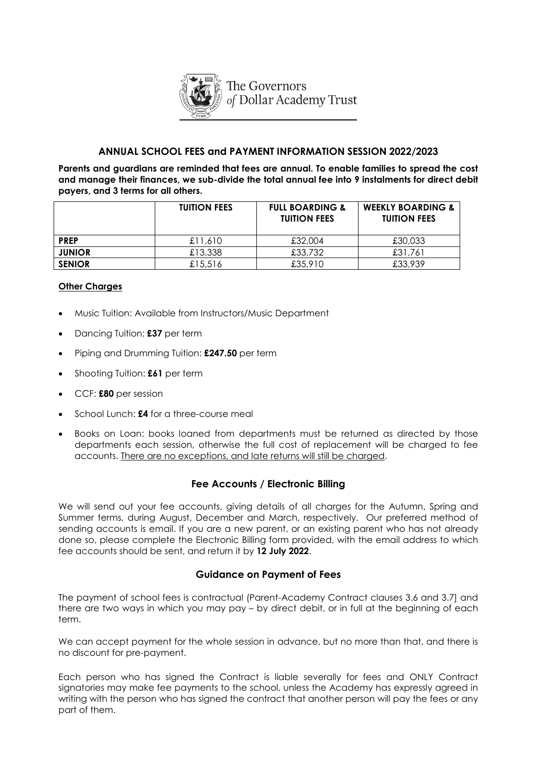

## **ANNUAL SCHOOL FEES and PAYMENT INFORMATION SESSION 2022/2023**

**Parents and guardians are reminded that fees are annual. To enable families to spread the cost and manage their finances, we sub-divide the total annual fee into 9 instalments for direct debit payers, and 3 terms for all others.** 

|               | <b>TUITION FEES</b> | <b>FULL BOARDING &amp;</b><br><b>TUITION FEES</b> | <b>WEEKLY BOARDING &amp;</b><br><b>TUITION FEES</b> |
|---------------|---------------------|---------------------------------------------------|-----------------------------------------------------|
| <b>PREP</b>   | £11,610             | £32,004                                           | £30,033                                             |
| <b>JUNIOR</b> | £13,338             | £33,732                                           | £31,761                                             |
| <b>SENIOR</b> | £15,516             | £35,910                                           | £33,939                                             |

#### **Other Charges**

- Music Tuition: Available from Instructors/Music Department
- Dancing Tuition: **£37** per term
- Piping and Drumming Tuition: **£247.50** per term
- Shooting Tuition: **£61** per term
- CCF: **£80** per session
- School Lunch: **£4** for a three-course meal
- Books on Loan: books loaned from departments must be returned as directed by those departments each session, otherwise the full cost of replacement will be charged to fee accounts. There are no exceptions, and late returns will still be charged.

## **Fee Accounts / Electronic Billing**

We will send out your fee accounts, giving details of all charges for the Autumn, Spring and Summer terms, during August, December and March, respectively. Our preferred method of sending accounts is email. If you are a new parent, or an existing parent who has not already done so, please complete the Electronic Billing form provided, with the email address to which fee accounts should be sent, and return it by **12 July 2022**.

## **Guidance on Payment of Fees**

The payment of school fees is contractual (Parent-Academy Contract clauses 3.6 and 3.7] and there are two ways in which you may pay – by direct debit, or in full at the beginning of each term.

We can accept payment for the whole session in advance, but no more than that, and there is no discount for pre-payment.

Each person who has signed the Contract is liable severally for fees and ONLY Contract signatories may make fee payments to the school, unless the Academy has expressly agreed in writing with the person who has signed the contract that another person will pay the fees or any part of them.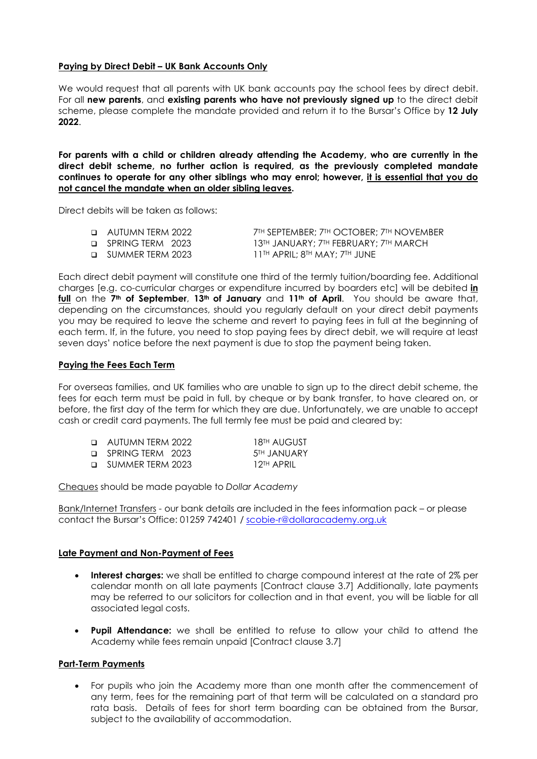#### **Paying by Direct Debit – UK Bank Accounts Only**

We would request that all parents with UK bank accounts pay the school fees by direct debit. For all **new parents**, and **existing parents who have not previously signed up** to the direct debit scheme, please complete the mandate provided and return it to the Bursar's Office by **12 July 2022**.

**For parents with a child or children already attending the Academy, who are currently in the direct debit scheme, no further action is required, as the previously completed mandate continues to operate for any other siblings who may enrol; however, it is essential that you do not cancel the mandate when an older sibling leaves.** 

Direct debits will be taken as follows:

| □ AUTUMN TERM 2022 | $7^{\text{TH}}$ September; $7^{\text{TH}}$ OCTOBER; $7^{\text{TH}}$ NOVEMBER. |
|--------------------|-------------------------------------------------------------------------------|
| SPRING TERM 2023   | 13TH JANUARY; 7TH FEBRUARY; 7TH MARCH                                         |
| SUMMER TERM 2023   | 11th APRIL: 8th MAY: 7th JUNE                                                 |

Each direct debit payment will constitute one third of the termly tuition/boarding fee. Additional charges [e.g. co-curricular charges or expenditure incurred by boarders etc] will be debited **in full** on the **7th of September**, **13th of January** and **11th of April**. You should be aware that, depending on the circumstances, should you regularly default on your direct debit payments you may be required to leave the scheme and revert to paying fees in full at the beginning of each term. If, in the future, you need to stop paying fees by direct debit, we will require at least seven days' notice before the next payment is due to stop the payment being taken.

#### **Paying the Fees Each Term**

For overseas families, and UK families who are unable to sign up to the direct debit scheme, the fees for each term must be paid in full, by cheque or by bank transfer, to have cleared on, or before, the first day of the term for which they are due. Unfortunately, we are unable to accept cash or credit card payments. The full termly fee must be paid and cleared by:

| <b>D</b> AUTUMN TERM 2022 | 18™ AUGUST              |
|---------------------------|-------------------------|
| <b>D</b> SPRING TERM 2023 | 5 <sup>TH</sup> JANUARY |
| □ SUMMER TERM 2023        | 12TH APRIL              |

Cheques should be made payable to *Dollar Academy*

Bank/Internet Transfers - our bank details are included in the fees information pack – or please contact the Bursar's Office: 01259 742401 / [scobie-r@dollaracademy.org.uk](mailto:scobie-r@dollaracademy.org.uk)

#### **Late Payment and Non-Payment of Fees**

- **Interest charges:** we shall be entitled to charge compound interest at the rate of 2% per calendar month on all late payments [Contract clause 3.7] Additionally, late payments may be referred to our solicitors for collection and in that event, you will be liable for all associated legal costs.
- **Pupil Attendance:** we shall be entitled to refuse to allow your child to attend the Academy while fees remain unpaid [Contract clause 3.7]

## **Part-Term Payments**

• For pupils who join the Academy more than one month after the commencement of any term, fees for the remaining part of that term will be calculated on a standard pro rata basis. Details of fees for short term boarding can be obtained from the Bursar, subject to the availability of accommodation.